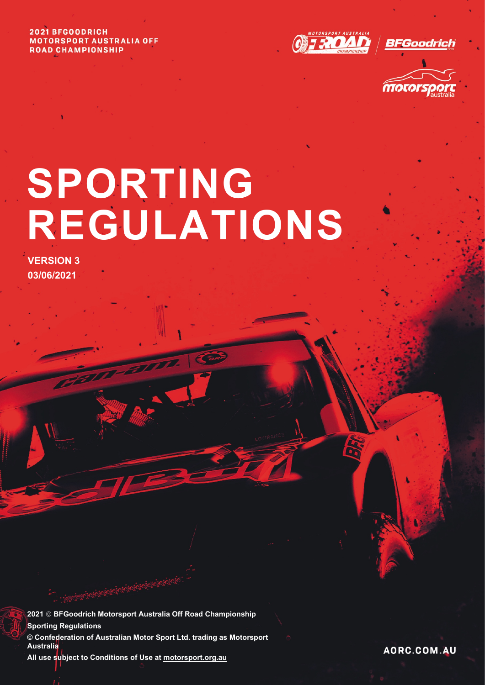#### 2021 BFGOODRICH **MOTORSPORT AUSTRALIA OFF ROAD CHAMPIONSHIP**



BFGoodrich



# **SPORTING REGULATIONS**

**VERSION 3 03/06/2021**

**2021 BFGoodrich Motorsport Australia Off Road Championship Sporting Regulations © Confederation of Australian Motor Sport Ltd. trading as Motorsport Australia All use subject to Conditions of Use a[t motorsport.org.au](http://www.motorsport.org.au/)**

AORC.COM.AU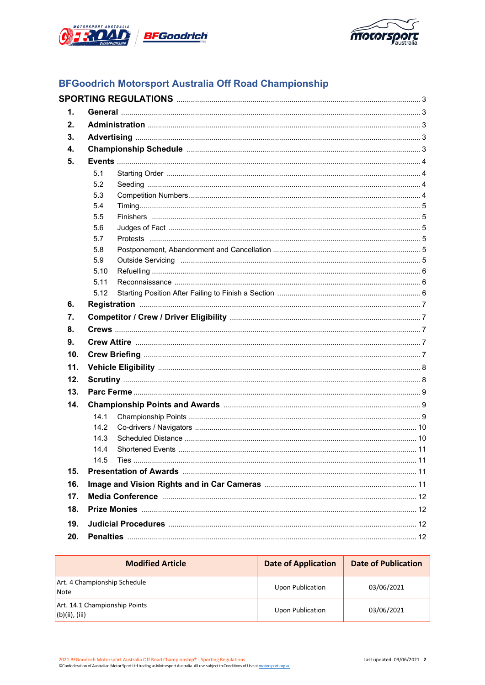



## **BFGoodrich Motorsport Australia Off Road Championship**

| 1.  |      |  |
|-----|------|--|
| 2.  |      |  |
| 3.  |      |  |
| 4.  |      |  |
| 5.  |      |  |
|     | 5.1  |  |
|     | 5.2  |  |
|     | 5.3  |  |
|     | 5.4  |  |
|     | 5.5  |  |
|     | 5.6  |  |
|     | 5.7  |  |
|     | 5.8  |  |
|     | 5.9  |  |
|     | 5.10 |  |
|     | 5.11 |  |
|     | 5.12 |  |
| 6.  |      |  |
| 7.  |      |  |
| 8.  |      |  |
| 9.  |      |  |
| 10. |      |  |
| 11. |      |  |
| 12. |      |  |
| 13. |      |  |
| 14. |      |  |
|     | 14.1 |  |
|     | 14.2 |  |
|     | 14.3 |  |
|     | 14.4 |  |
|     | 14.5 |  |
| 15. |      |  |
| 16. |      |  |
| 17. |      |  |
| 18. |      |  |
| 19. |      |  |
| 20. |      |  |

| <b>Modified Article</b>                         | <b>Date of Application</b> | <b>Date of Publication</b> |
|-------------------------------------------------|----------------------------|----------------------------|
| Art. 4 Championship Schedule<br>l Note          | <b>Upon Publication</b>    | 03/06/2021                 |
| Art. 14.1 Championship Points<br>(b)(ii), (iii) | <b>Upon Publication</b>    | 03/06/2021                 |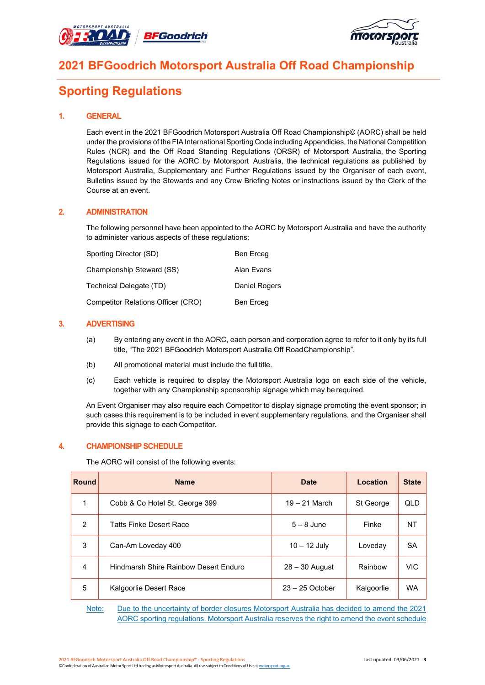



## **2021 BFGoodrich Motorsport Australia Off Road Championship**

# **Sporting Regulations**

#### **1. GENERAL**

Each event in the 2021 BFGoodrich Motorsport Australia Off Road Championship© (AORC) shall be held under the provisions of the FIA International Sporting Code including Appendicies, the National Competition Rules (NCR) and the Off Road Standing Regulations (ORSR) of Motorsport Australia, the Sporting Regulations issued for the AORC by Motorsport Australia, the technical regulations as published by Motorsport Australia, Supplementary and Further Regulations issued by the Organiser of each event, Bulletins issued by the Stewards and any Crew Briefing Notes or instructions issued by the Clerk of the Course at an event.

### **2. ADMINISTRATION**

The following personnel have been appointed to the AORC by Motorsport Australia and have the authority to administer various aspects of these regulations:

| Sporting Director (SD)             | Ben Erceg     |
|------------------------------------|---------------|
| Championship Steward (SS)          | Alan Evans    |
| Technical Delegate (TD)            | Daniel Rogers |
| Competitor Relations Officer (CRO) | Ben Erceg     |

#### **3. ADVERTISING**

- (a) By entering any event in the AORC, each person and corporation agree to refer to it only by its full title, "The 2021 BFGoodrich Motorsport Australia Off RoadChampionship".
- (b) All promotional material must include the full title.
- (c) Each vehicle is required to display the Motorsport Australia logo on each side of the vehicle, together with any Championship sponsorship signage which may be required.

An Event Organiser may also require each Competitor to display signage promoting the event sponsor; in such cases this requirement is to be included in event supplementary regulations, and the Organiser shall provide this signage to each Competitor.

#### **4. CHAMPIONSHIP SCHEDULE**

The AORC will consist of the following events:

| <b>Round</b>  | <b>Name</b>                           | <b>Date</b>       | Location   | <b>State</b> |
|---------------|---------------------------------------|-------------------|------------|--------------|
|               | Cobb & Co Hotel St. George 399        | $19 - 21$ March   | St George  | QLD          |
| $\mathcal{P}$ | <b>Tatts Finke Desert Race</b>        | $5 - 8$ June      | Finke      | NT           |
| 3             | Can-Am Loveday 400                    | $10 - 12$ July    | Loveday    | <b>SA</b>    |
| 4             | Hindmarsh Shire Rainbow Desert Enduro | $28 - 30$ August  | Rainbow    | <b>VIC</b>   |
| 5             | Kalgoorlie Desert Race                | $23 - 25$ October | Kalgoorlie | <b>WA</b>    |

Note: Due to the uncertainty of border closures Motorsport Australia has decided to amend the 2021 AORC sporting regulations. Motorsport Australia reserves the right to amend the event schedule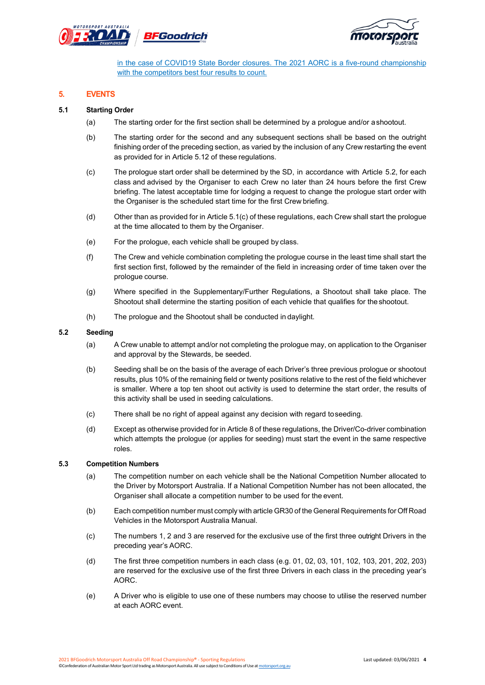



in the case of COVID19 State Border closures. The 2021 AORC is a five-round championship with the competitors best four results to count.

#### **5. EVENTS**

#### **5.1 Starting Order**

- (a) The starting order for the first section shall be determined by a prologue and/or ashootout.
- (b) The starting order for the second and any subsequent sections shall be based on the outright finishing order of the preceding section, as varied by the inclusion of any Crew restarting the event as provided for in Article 5.12 of these regulations.
- (c) The prologue start order shall be determined by the SD, in accordance with Article 5.2, for each class and advised by the Organiser to each Crew no later than 24 hours before the first Crew briefing. The latest acceptable time for lodging a request to change the prologue start order with the Organiser is the scheduled start time for the first Crew briefing.
- (d) Other than as provided for in Article 5.1(c) of these regulations, each Crew shall start the prologue at the time allocated to them by the Organiser.
- (e) For the prologue, each vehicle shall be grouped by class.
- (f) The Crew and vehicle combination completing the prologue course in the least time shall start the first section first, followed by the remainder of the field in increasing order of time taken over the prologue course.
- (g) Where specified in the Supplementary/Further Regulations, a Shootout shall take place. The Shootout shall determine the starting position of each vehicle that qualifies for theshootout.
- (h) The prologue and the Shootout shall be conducted in daylight.

#### **5.2 Seeding**

- (a) A Crew unable to attempt and/or not completing the prologue may, on application to the Organiser and approval by the Stewards, be seeded.
- (b) Seeding shall be on the basis of the average of each Driver's three previous prologue or shootout results, plus 10% of the remaining field or twenty positions relative to the rest of the field whichever is smaller. Where a top ten shoot out activity is used to determine the start order, the results of this activity shall be used in seeding calculations.
- (c) There shall be no right of appeal against any decision with regard toseeding.
- (d) Except as otherwise provided for in Article 8 of these regulations, the Driver/Co-driver combination which attempts the prologue (or applies for seeding) must start the event in the same respective roles.

#### **5.3 Competition Numbers**

- (a) The competition number on each vehicle shall be the National Competition Number allocated to the Driver by Motorsport Australia. If a National Competition Number has not been allocated, the Organiser shall allocate a competition number to be used for the event.
- (b) Each competition number must comply with article GR30 of the General Requirements for Off Road Vehicles in the Motorsport Australia Manual.
- (c) The numbers 1, 2 and 3 are reserved for the exclusive use of the first three outright Drivers in the preceding year's AORC.
- (d) The first three competition numbers in each class (e.g. 01, 02, 03, 101, 102, 103, 201, 202, 203) are reserved for the exclusive use of the first three Drivers in each class in the preceding year's AORC.
- (e) A Driver who is eligible to use one of these numbers may choose to utilise the reserved number at each AORC event.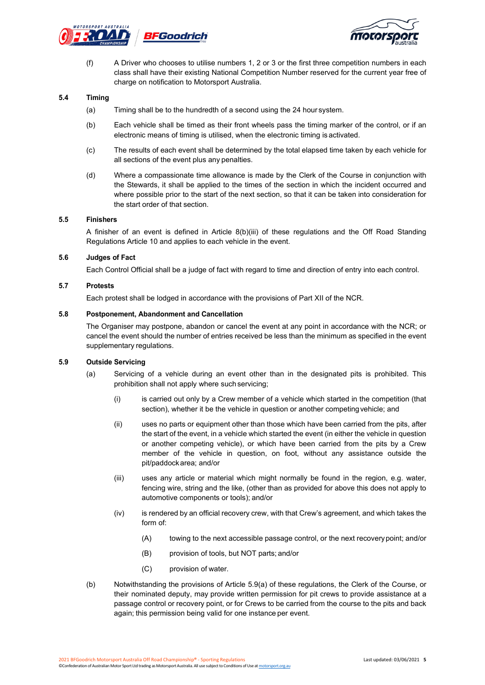



(f) A Driver who chooses to utilise numbers 1, 2 or 3 or the first three competition numbers in each class shall have their existing National Competition Number reserved for the current year free of charge on notification to Motorsport Australia.

#### **5.4 Timing**

- (a) Timing shall be to the hundredth of a second using the 24 hour system.
- (b) Each vehicle shall be timed as their front wheels pass the timing marker of the control, or if an electronic means of timing is utilised, when the electronic timing is activated.
- (c) The results of each event shall be determined by the total elapsed time taken by each vehicle for all sections of the event plus any penalties.
- (d) Where a compassionate time allowance is made by the Clerk of the Course in conjunction with the Stewards, it shall be applied to the times of the section in which the incident occurred and where possible prior to the start of the next section, so that it can be taken into consideration for the start order of that section.

#### **5.5 Finishers**

A finisher of an event is defined in Article 8(b)(iii) of these regulations and the Off Road Standing Regulations Article 10 and applies to each vehicle in the event.

#### **5.6 Judges of Fact**

Each Control Official shall be a judge of fact with regard to time and direction of entry into each control.

#### **5.7 Protests**

Each protest shall be lodged in accordance with the provisions of Part XII of the NCR.

#### **5.8 Postponement, Abandonment and Cancellation**

The Organiser may postpone, abandon or cancel the event at any point in accordance with the NCR; or cancel the event should the number of entries received be less than the minimum as specified in the event supplementary regulations.

#### **5.9 Outside Servicing**

- (a) Servicing of a vehicle during an event other than in the designated pits is prohibited. This prohibition shall not apply where suchservicing;
	- (i) is carried out only by a Crew member of a vehicle which started in the competition (that section), whether it be the vehicle in question or another competing vehicle; and
	- (ii) uses no parts or equipment other than those which have been carried from the pits, after the start of the event, in a vehicle which started the event (in either the vehicle in question or another competing vehicle), or which have been carried from the pits by a Crew member of the vehicle in question, on foot, without any assistance outside the pit/paddockarea; and/or
	- (iii) uses any article or material which might normally be found in the region, e.g. water, fencing wire, string and the like, (other than as provided for above this does not apply to automotive components or tools); and/or
	- (iv) is rendered by an official recovery crew, with that Crew's agreement, and which takes the form of:
		- (A) towing to the next accessible passage control, or the next recoverypoint; and/or
		- (B) provision of tools, but NOT parts; and/or
		- (C) provision of water.
- (b) Notwithstanding the provisions of Article 5.9(a) of these regulations, the Clerk of the Course, or their nominated deputy, may provide written permission for pit crews to provide assistance at a passage control or recovery point, or for Crews to be carried from the course to the pits and back again; this permission being valid for one instance per event.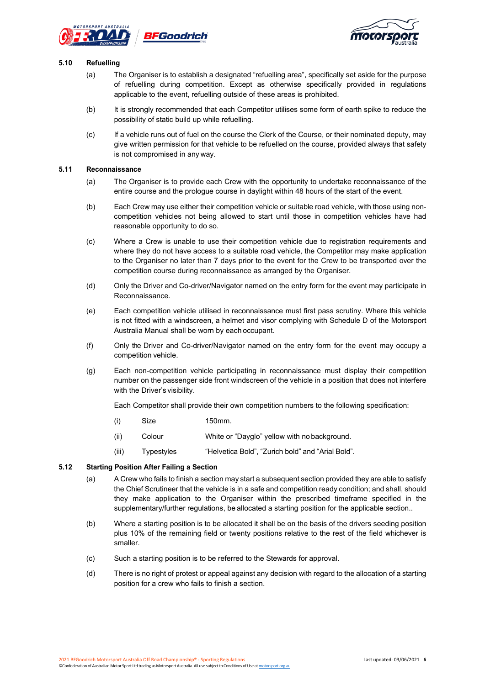



#### **5.10 Refuelling**

- (a) The Organiser is to establish a designated "refuelling area", specifically set aside for the purpose of refuelling during competition. Except as otherwise specifically provided in regulations applicable to the event, refuelling outside of these areas is prohibited.
- (b) It is strongly recommended that each Competitor utilises some form of earth spike to reduce the possibility of static build up while refuelling.
- (c) If a vehicle runs out of fuel on the course the Clerk of the Course, or their nominated deputy, may give written permission for that vehicle to be refuelled on the course, provided always that safety is not compromised in any way.

#### **5.11 Reconnaissance**

- (a) The Organiser is to provide each Crew with the opportunity to undertake reconnaissance of the entire course and the prologue course in daylight within 48 hours of the start of the event.
- (b) Each Crew may use either their competition vehicle or suitable road vehicle, with those using noncompetition vehicles not being allowed to start until those in competition vehicles have had reasonable opportunity to do so.
- (c) Where a Crew is unable to use their competition vehicle due to registration requirements and where they do not have access to a suitable road vehicle, the Competitor may make application to the Organiser no later than 7 days prior to the event for the Crew to be transported over the competition course during reconnaissance as arranged by the Organiser.
- (d) Only the Driver and Co-driver/Navigator named on the entry form for the event may participate in Reconnaissance.
- (e) Each competition vehicle utilised in reconnaissance must first pass scrutiny. Where this vehicle is not fitted with a windscreen, a helmet and visor complying with Schedule D of the Motorsport Australia Manual shall be worn by each occupant.
- (f) Only the Driver and Co-driver/Navigator named on the entry form for the event may occupy a competition vehicle.
- (g) Each non-competition vehicle participating in reconnaissance must display their competition number on the passenger side front windscreen of the vehicle in a position that does not interfere with the Driver's visibility.

Each Competitor shall provide their own competition numbers to the following specification:

- (i) Size 150mm.
- (ii) Colour White or "Dayglo" yellow with nobackground.
- (iii) Typestyles "Helvetica Bold", "Zurich bold" and "Arial Bold".

#### **5.12 Starting Position After Failing a Section**

- (a) A Crew who fails to finish a section may start a subsequent section provided they are able to satisfy the Chief Scrutineer that the vehicle is in a safe and competition ready condition; and shall, should they make application to the Organiser within the prescribed timeframe specified in the supplementary/further regulations, be allocated a starting position for the applicable section..
- (b) Where a starting position is to be allocated it shall be on the basis of the drivers seeding position plus 10% of the remaining field or twenty positions relative to the rest of the field whichever is smaller.
- (c) Such a starting position is to be referred to the Stewards for approval.
- (d) There is no right of protest or appeal against any decision with regard to the allocation of a starting position for a crew who fails to finish a section.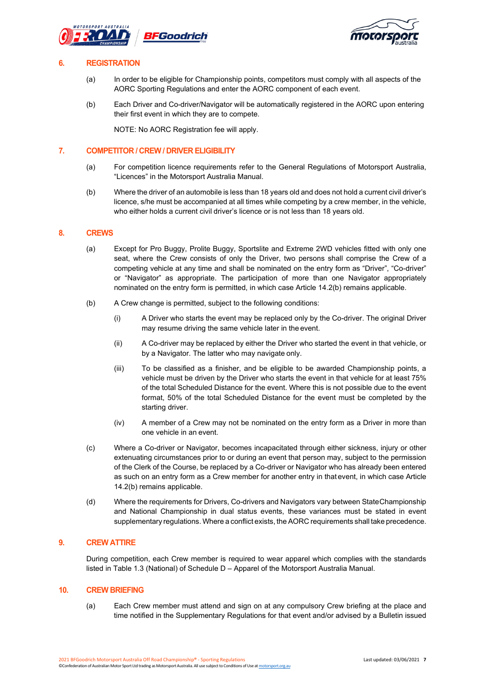



#### **6. REGISTRATION**

- (a) In order to be eligible for Championship points, competitors must comply with all aspects of the AORC Sporting Regulations and enter the AORC component of each event.
- (b) Each Driver and Co-driver/Navigator will be automatically registered in the AORC upon entering their first event in which they are to compete.

NOTE: No AORC Registration fee will apply.

#### **7. COMPETITOR / CREW / DRIVER ELIGIBILITY**

- (a) For competition licence requirements refer to the General Regulations of Motorsport Australia, "Licences" in the Motorsport Australia Manual.
- (b) Where the driver of an automobile is less than 18 years old and does not hold a current civil driver's licence, s/he must be accompanied at all times while competing by a crew member, in the vehicle, who either holds a current civil driver's licence or is not less than 18 years old.

#### **8. CREWS**

- (a) Except for Pro Buggy, Prolite Buggy, Sportslite and Extreme 2WD vehicles fitted with only one seat, where the Crew consists of only the Driver, two persons shall comprise the Crew of a competing vehicle at any time and shall be nominated on the entry form as "Driver", "Co-driver" or "Navigator" as appropriate. The participation of more than one Navigator appropriately nominated on the entry form is permitted, in which case Article 14.2(b) remains applicable.
- (b) A Crew change is permitted, subject to the following conditions:
	- (i) A Driver who starts the event may be replaced only by the Co-driver. The original Driver may resume driving the same vehicle later in the event.
	- (ii) A Co-driver may be replaced by either the Driver who started the event in that vehicle, or by a Navigator. The latter who may navigate only.
	- (iii) To be classified as a finisher, and be eligible to be awarded Championship points, a vehicle must be driven by the Driver who starts the event in that vehicle for at least 75% of the total Scheduled Distance for the event. Where this is not possible due to the event format, 50% of the total Scheduled Distance for the event must be completed by the starting driver.
	- (iv) A member of a Crew may not be nominated on the entry form as a Driver in more than one vehicle in an event.
- (c) Where a Co-driver or Navigator, becomes incapacitated through either sickness, injury or other extenuating circumstances prior to or during an event that person may, subject to the permission of the Clerk of the Course, be replaced by a Co-driver or Navigator who has already been entered as such on an entry form as a Crew member for another entry in that event, in which case Article 14.2(b) remains applicable.
- (d) Where the requirements for Drivers, Co-drivers and Navigators vary between StateChampionship and National Championship in dual status events, these variances must be stated in event supplementary regulations. Where a conflict exists, the AORC requirements shall take precedence.

#### **9. CREW ATTIRE**

During competition, each Crew member is required to wear apparel which complies with the standards listed in Table 1.3 (National) of Schedule D – Apparel of the Motorsport Australia Manual.

#### **10. CREW BRIEFING**

(a) Each Crew member must attend and sign on at any compulsory Crew briefing at the place and time notified in the Supplementary Regulations for that event and/or advised by a Bulletin issued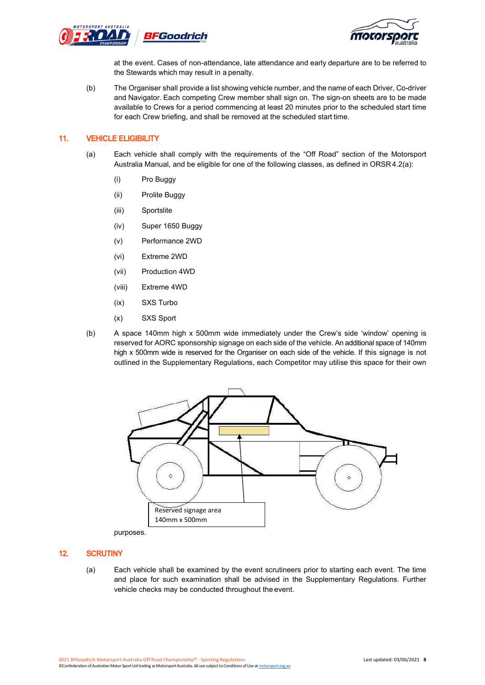



at the event. Cases of non-attendance, late attendance and early departure are to be referred to the Stewards which may result in a penalty.

(b) The Organiser shall provide a list showing vehicle number, and the name of each Driver, Co-driver and Navigator. Each competing Crew member shall sign on. The sign-on sheets are to be made available to Crews for a period commencing at least 20 minutes prior to the scheduled start time for each Crew briefing, and shall be removed at the scheduled start time.

#### **11. VEHICLE ELIGIBILITY**

- (a) Each vehicle shall comply with the requirements of the "Off Road" section of the Motorsport Australia Manual, and be eligible for one of the following classes, as defined in ORSR 4.2(a):
	- (i) Pro Buggy
	- (ii) Prolite Buggy
	- (iii) Sportslite
	- (iv) Super 1650 Buggy
	- (v) Performance 2WD
	- (vi) Extreme 2WD
	- (vii) Production 4WD
	- (viii) Extreme 4WD
	- (ix) SXS Turbo
	- (x) SXS Sport
- (b) A space 140mm high x 500mm wide immediately under the Crew's side 'window' opening is reserved for AORC sponsorship signage on each side of the vehicle. An additional space of 140mm high x 500mm wide is reserved for the Organiser on each side of the vehicle. If this signage is not outlined in the Supplementary Regulations, each Competitor may utilise this space for their own



purposes.

#### **12. SCRUTINY**

(a) Each vehicle shall be examined by the event scrutineers prior to starting each event. The time and place for such examination shall be advised in the Supplementary Regulations. Further vehicle checks may be conducted throughout the event.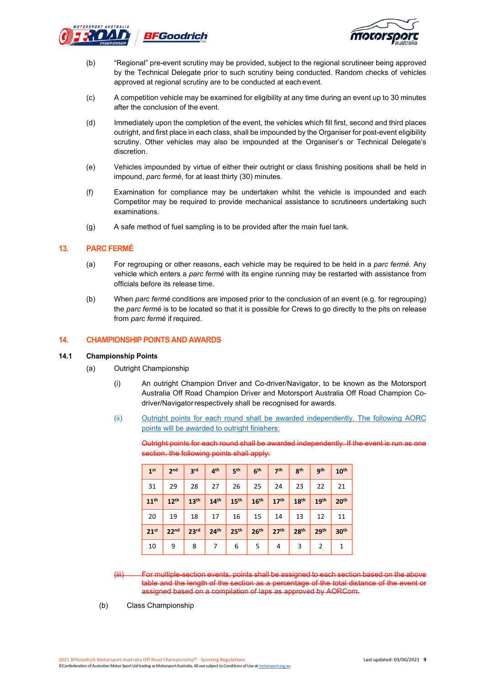



- (b) "Regional" pre-event scrutiny may be provided, subject to the regional scrutineer being approved by the Technical Delegate prior to such scrutiny being conducted. Random checks of vehicles approved at regional scrutiny are to be conducted at each event.
- (c) A competition vehicle may be examined for eligibility at any time during an event up to 30 minutes after the conclusion of the event.
- (d) Immediately upon the completion of the event, the vehicles which fill first, second and third places outright, and first place in each class, shall be impounded by the Organiser for post-event eligibility scrutiny. Other vehicles may also be impounded at the Organiser's or Technical Delegate's discretion.
- (e) Vehicles impounded by virtue of either their outright or class finishing positions shall be held in impound, *parc fermé*, for at least thirty (30) minutes.
- (f) Examination for compliance may be undertaken whilst the vehicle is impounded and each Competitor may be required to provide mechanical assistance to scrutineers undertaking such examinations.
- (g) A safe method of fuel sampling is to be provided after the main fuel tank.

#### **13. PARC FERMÉ**

- (a) For regrouping or other reasons, each vehicle may be required to be held in a *parc fermé.* Any vehicle which enters a *parc fermé* with its engine running may be restarted with assistance from officials before its release time.
- (b) When *parc fermé* conditions are imposed prior to the conclusion of an event (e.g. for regrouping) the *parc fermé* is to be located so that it is possible for Crews to go directly to the pits on release from *parc fermé* if required.

#### **14. CHAMPIONSHIP POINTS AND AWARDS**

#### **14.1 Championship Points**

- (a) Outright Championship
	- (i) An outright Champion Driver and Co-driver/Navigator, to be known as the Motorsport Australia Off Road Champion Driver and Motorsport Australia Off Road Champion Codriver/Navigatorrespectively shall be recognised for awards.
	- (ii) Outright points for each round shall be awarded independently. The following AORC points will be awarded to outright finishers:

Outright points for each round shall be awarded independently. If the event is run as one section, the following points shall apply:

| 1 <sup>st</sup>  | 2 <sub>nd</sub>  | 3 <sub>rd</sub>  | 4 <sup>th</sup>  | 5 <sup>th</sup>  | 6 <sup>th</sup>  | 7 <sup>th</sup>  | 8 <sup>th</sup>  | <b>gth</b>       | 10 <sup>th</sup> |
|------------------|------------------|------------------|------------------|------------------|------------------|------------------|------------------|------------------|------------------|
| 31               | 29               | 28               | 27               | 26               | 25               | 24               | 23               | 22               | 21               |
| 11 <sup>th</sup> | 12 <sup>th</sup> | 13 <sup>th</sup> | 14 <sup>th</sup> | 15 <sup>th</sup> | 16 <sup>th</sup> | 17 <sup>th</sup> | 18 <sup>th</sup> | 19 <sup>th</sup> | 20 <sup>th</sup> |
| 20               | 19               | 18               | 17               | 16               | 15               | 14               | 13               | 12               | 11               |
| 21 <sup>st</sup> | 22 <sub>nd</sub> | 23 <sup>rd</sup> | 24 <sup>th</sup> | 25 <sup>th</sup> | 26 <sup>th</sup> | 27 <sup>th</sup> | 28 <sup>th</sup> | 29th             | 30 <sup>th</sup> |
| 10               | 9                | 8                | 7                | 6                | 5                | 4                | 3                | 2                |                  |

For multiple-section events, points shall be assigned to each section based on the above table and the length of the section as a percentage of the total distance of the event or assigned based on a compilation of laps as approved by AORCom.

(b) Class Championship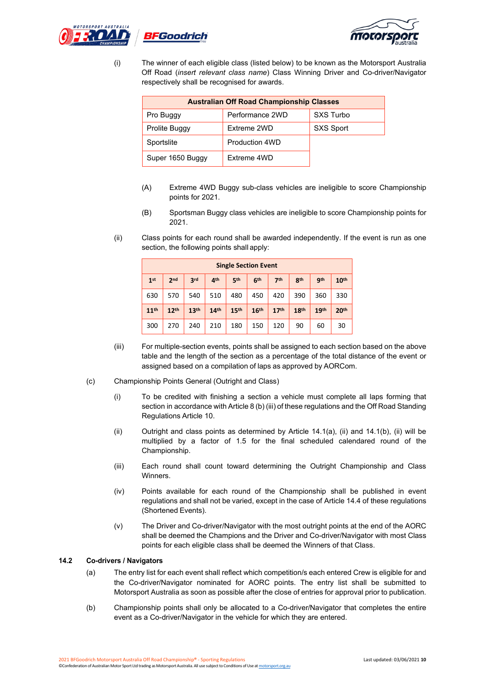



(i) The winner of each eligible class (listed below) to be known as the Motorsport Australia Off Road (*insert relevant class name*) Class Winning Driver and Co-driver/Navigator respectively shall be recognised for awards.

| <b>Australian Off Road Championship Classes</b> |                       |           |  |  |  |  |
|-------------------------------------------------|-----------------------|-----------|--|--|--|--|
| Pro Buggy                                       | Performance 2WD       | SXS Turbo |  |  |  |  |
| Prolite Buggy                                   | Extreme 2WD           | SXS Sport |  |  |  |  |
| Sportslite                                      | <b>Production 4WD</b> |           |  |  |  |  |
| Super 1650 Buggy                                | Extreme 4WD           |           |  |  |  |  |

- (A) Extreme 4WD Buggy sub-class vehicles are ineligible to score Championship points for 2021.
- (B) Sportsman Buggy class vehicles are ineligible to score Championship points for 2021.
- (ii) Class points for each round shall be awarded independently. If the event is run as one section, the following points shall apply:

| <b>Single Section Event</b> |                  |                  |                  |                  |                  |                  |                  |                  |                  |
|-----------------------------|------------------|------------------|------------------|------------------|------------------|------------------|------------------|------------------|------------------|
| 1 <sup>st</sup>             | 2 <sub>nd</sub>  | 3 <sub>rd</sub>  | 4 <sup>th</sup>  | 5 <sup>th</sup>  | 6 <sup>th</sup>  | 7 <sup>th</sup>  | 8 <sup>th</sup>  | gth              | 10 <sup>th</sup> |
| 630                         | 570              | 540              | 510              | 480              | 450              | 420              | 390              | 360              | 330              |
| 11 <sup>th</sup>            | 12 <sup>th</sup> | 13 <sup>th</sup> | 14 <sup>th</sup> | 15 <sup>th</sup> | 16 <sup>th</sup> | 17 <sup>th</sup> | 18 <sup>th</sup> | 19 <sup>th</sup> | 20 <sup>th</sup> |
| 300                         | 270              | 240              | 210              | 180              | 150              | 120              | 90               | 60               | 30               |

- (iii) For multiple-section events, points shall be assigned to each section based on the above table and the length of the section as a percentage of the total distance of the event or assigned based on a compilation of laps as approved by AORCom.
- (c) Championship Points General (Outright and Class)
	- (i) To be credited with finishing a section a vehicle must complete all laps forming that section in accordance with Article 8 (b) (iii) of these regulations and the Off Road Standing Regulations Article 10.
	- (ii) Outright and class points as determined by Article  $14.1(a)$ , (ii) and  $14.1(b)$ , (ii) will be multiplied by a factor of 1.5 for the final scheduled calendared round of the Championship.
	- (iii) Each round shall count toward determining the Outright Championship and Class Winners.
	- (iv) Points available for each round of the Championship shall be published in event regulations and shall not be varied, except in the case of Article 14.4 of these regulations (Shortened Events).
	- (v) The Driver and Co-driver/Navigator with the most outright points at the end of the AORC shall be deemed the Champions and the Driver and Co-driver/Navigator with most Class points for each eligible class shall be deemed the Winners of that Class.

#### **14.2 Co-drivers / Navigators**

- (a) The entry list for each event shall reflect which competition/s each entered Crew is eligible for and the Co-driver/Navigator nominated for AORC points. The entry list shall be submitted to Motorsport Australia as soon as possible after the close of entries for approval prior to publication.
- (b) Championship points shall only be allocated to a Co-driver/Navigator that completes the entire event as a Co-driver/Navigator in the vehicle for which they are entered.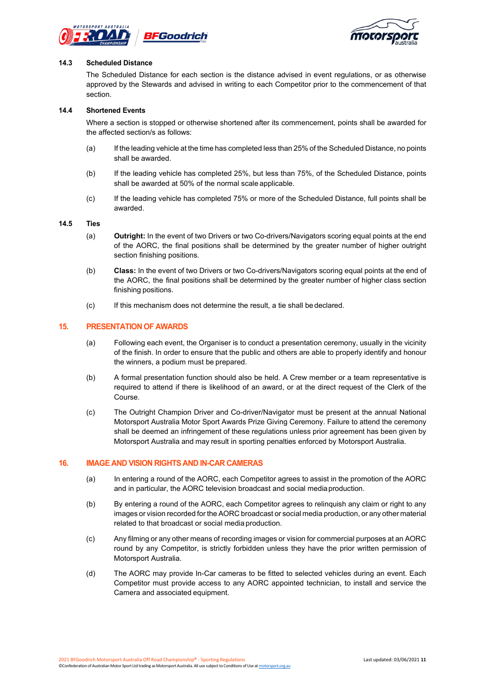



#### **14.3 Scheduled Distance**

The Scheduled Distance for each section is the distance advised in event regulations, or as otherwise approved by the Stewards and advised in writing to each Competitor prior to the commencement of that section.

#### **14.4 Shortened Events**

Where a section is stopped or otherwise shortened after its commencement, points shall be awarded for the affected section/s as follows:

- (a) If the leading vehicle at the time has completed less than 25% of the Scheduled Distance, no points shall be awarded.
- (b) If the leading vehicle has completed 25%, but less than 75%, of the Scheduled Distance, points shall be awarded at 50% of the normal scale applicable.
- (c) If the leading vehicle has completed 75% or more of the Scheduled Distance, full points shall be awarded.

#### **14.5 Ties**

- (a) **Outright:** In the event of two Drivers or two Co-drivers/Navigators scoring equal points at the end of the AORC, the final positions shall be determined by the greater number of higher outright section finishing positions.
- (b) **Class:** In the event of two Drivers or two Co-drivers/Navigators scoring equal points at the end of the AORC, the final positions shall be determined by the greater number of higher class section finishing positions.
- (c) If this mechanism does not determine the result, a tie shall bedeclared.

#### **15. PRESENTATION OF AWARDS**

- (a) Following each event, the Organiser is to conduct a presentation ceremony, usually in the vicinity of the finish. In order to ensure that the public and others are able to properly identify and honour the winners, a podium must be prepared.
- (b) A formal presentation function should also be held. A Crew member or a team representative is required to attend if there is likelihood of an award, or at the direct request of the Clerk of the Course.
- (c) The Outright Champion Driver and Co-driver/Navigator must be present at the annual National Motorsport Australia Motor Sport Awards Prize Giving Ceremony. Failure to attend the ceremony shall be deemed an infringement of these regulations unless prior agreement has been given by Motorsport Australia and may result in sporting penalties enforced by Motorsport Australia.

#### **16. IMAGE AND VISION RIGHTS AND IN-CAR CAMERAS**

- (a) In entering a round of the AORC, each Competitor agrees to assist in the promotion of the AORC and in particular, the AORC television broadcast and social mediaproduction.
- (b) By entering a round of the AORC, each Competitor agrees to relinquish any claim or right to any images or vision recorded for the AORC broadcast or social media production, or any other material related to that broadcast or social media production.
- (c) Any filming or any other means of recording images or vision for commercial purposes at an AORC round by any Competitor, is strictly forbidden unless they have the prior written permission of Motorsport Australia.
- (d) The AORC may provide In-Car cameras to be fitted to selected vehicles during an event. Each Competitor must provide access to any AORC appointed technician, to install and service the Camera and associated equipment.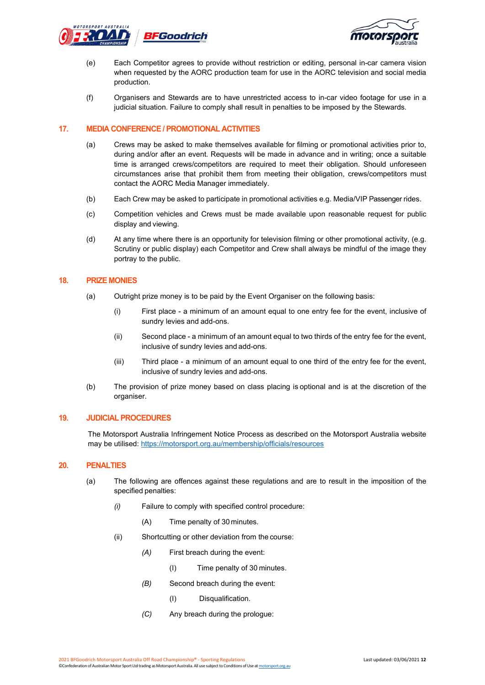



- (e) Each Competitor agrees to provide without restriction or editing, personal in-car camera vision when requested by the AORC production team for use in the AORC television and social media production.
- (f) Organisers and Stewards are to have unrestricted access to in-car video footage for use in a judicial situation. Failure to comply shall result in penalties to be imposed by the Stewards.

#### **17. MEDIA CONFERENCE / PROMOTIONAL ACTIVITIES**

- (a) Crews may be asked to make themselves available for filming or promotional activities prior to, during and/or after an event. Requests will be made in advance and in writing; once a suitable time is arranged crews/competitors are required to meet their obligation. Should unforeseen circumstances arise that prohibit them from meeting their obligation, crews/competitors must contact the AORC Media Manager immediately.
- (b) Each Crew may be asked to participate in promotional activities e.g. Media/VIP Passenger rides.
- (c) Competition vehicles and Crews must be made available upon reasonable request for public display and viewing.
- (d) At any time where there is an opportunity for television filming or other promotional activity, (e.g. Scrutiny or public display) each Competitor and Crew shall always be mindful of the image they portray to the public.

#### **18. PRIZE MONIES**

- (a) Outright prize money is to be paid by the Event Organiser on the following basis:
	- (i) First place a minimum of an amount equal to one entry fee for the event, inclusive of sundry levies and add-ons.
	- (ii) Second place a minimum of an amount equal to two thirds of the entry fee for the event, inclusive of sundry levies and add-ons.
	- (iii) Third place a minimum of an amount equal to one third of the entry fee for the event, inclusive of sundry levies and add-ons.
- (b) The provision of prize money based on class placing is optional and is at the discretion of the organiser.

#### **19. JUDICIAL PROCEDURES**

The Motorsport Australia Infringement Notice Process as described on the Motorsport Australia website may be utilised:<https://motorsport.org.au/membership/officials/resources>

#### **20. PENALTIES**

- (a) The following are offences against these regulations and are to result in the imposition of the specified penalties:
	- *(i)* Failure to comply with specified control procedure:
		- (A) Time penalty of 30 minutes.
	- (ii) Shortcutting or other deviation from the course:
		- *(A)* First breach during the event:
			- (I) Time penalty of 30 minutes.
		- *(B)* Second breach during the event:
			- (I) Disqualification.
		- *(C)* Any breach during the prologue: